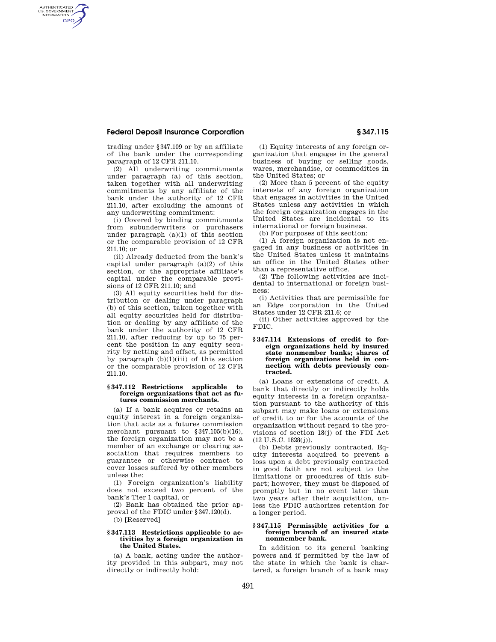# **Federal Deposit Insurance Corporation § 347.115**

AUTHENTICATED<br>U.S. GOVERNMENT<br>INFORMATION **GPO** 

> trading under §347.109 or by an affiliate of the bank under the corresponding paragraph of 12 CFR 211.10.

> (2) All underwriting commitments under paragraph (a) of this section, taken together with all underwriting commitments by any affiliate of the bank under the authority of 12 CFR 211.10, after excluding the amount of any underwriting commitment:

> (i) Covered by binding commitments from subunderwriters or purchasers under paragraph  $(a)(1)$  of this section or the comparable provision of 12 CFR 211.10; or

> (ii) Already deducted from the bank's capital under paragraph (a)(2) of this section, or the appropriate affiliate's capital under the comparable provisions of 12 CFR 211.10; and

> (3) All equity securities held for distribution or dealing under paragraph (b) of this section, taken together with all equity securities held for distribution or dealing by any affiliate of the bank under the authority of 12 CFR 211.10, after reducing by up to 75 percent the position in any equity security by netting and offset, as permitted by paragraph  $(b)(1)(iii)$  of this section or the comparable provision of 12 CFR 211.10.

#### **§ 347.112 Restrictions applicable to foreign organizations that act as futures commission merchants.**

(a) If a bank acquires or retains an equity interest in a foreign organization that acts as a futures commission merchant pursuant to §347.105(b)(16), the foreign organization may not be a member of an exchange or clearing association that requires members to guarantee or otherwise contract to cover losses suffered by other members unless the:

(1) Foreign organization's liability does not exceed two percent of the bank's Tier 1 capital, or

(2) Bank has obtained the prior approval of the FDIC under §347.120(d).

(b) [Reserved]

#### **§ 347.113 Restrictions applicable to activities by a foreign organization in the United States.**

(a) A bank, acting under the authority provided in this subpart, may not directly or indirectly hold:

(1) Equity interests of any foreign organization that engages in the general business of buying or selling goods, wares, merchandise, or commodities in the United States; or

(2) More than 5 percent of the equity interests of any foreign organization that engages in activities in the United States unless any activities in which the foreign organization engages in the United States are incidental to its international or foreign business.

(b) For purposes of this section:

(1) A foreign organization is not engaged in any business or activities in the United States unless it maintains an office in the United States other than a representative office.

(2) The following activities are incidental to international or foreign business:

(i) Activities that are permissible for an Edge corporation in the United States under 12 CFR 211.6; or

(ii) Other activities approved by the FDIC.

## **§ 347.114 Extensions of credit to foreign organizations held by insured state nonmember banks; shares of foreign organizations held in connection with debts previously contracted.**

(a) Loans or extensions of credit. A bank that directly or indirectly holds equity interests in a foreign organization pursuant to the authority of this subpart may make loans or extensions of credit to or for the accounts of the organization without regard to the provisions of section 18(j) of the FDI Act (12 U.S.C. 1828(j)).

(b) Debts previously contracted. Equity interests acquired to prevent a loss upon a debt previously contracted in good faith are not subject to the limitations or procedures of this subpart; however, they must be disposed of promptly but in no event later than two years after their acquisition, unless the FDIC authorizes retention for a longer period.

## **§ 347.115 Permissible activities for a foreign branch of an insured state nonmember bank.**

In addition to its general banking powers and if permitted by the law of the state in which the bank is chartered, a foreign branch of a bank may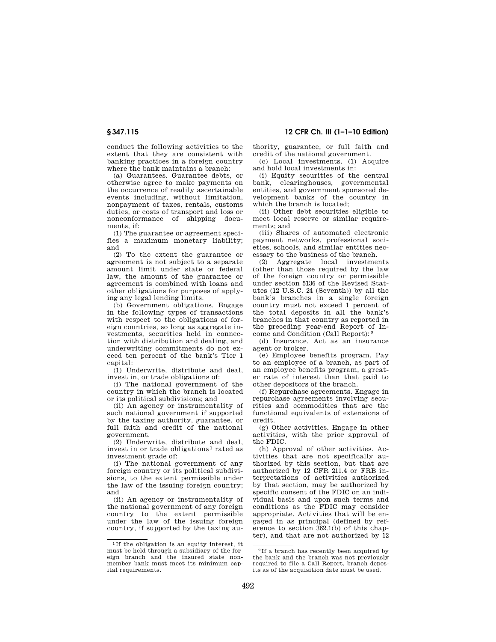conduct the following activities to the extent that they are consistent with banking practices in a foreign country where the bank maintains a branch:

(a) Guarantees. Guarantee debts, or otherwise agree to make payments on the occurrence of readily ascertainable events including, without limitation, nonpayment of taxes, rentals, customs duties, or costs of transport and loss or nonconformance of shipping documents, if:

(1) The guarantee or agreement specifies a maximum monetary liability; and

(2) To the extent the guarantee or agreement is not subject to a separate amount limit under state or federal law, the amount of the guarantee or agreement is combined with loans and other obligations for purposes of applying any legal lending limits.

(b) Government obligations. Engage in the following types of transactions with respect to the obligations of foreign countries, so long as aggregate investments, securities held in connection with distribution and dealing, and underwriting commitments do not exceed ten percent of the bank's Tier 1 capital:

(1) Underwrite, distribute and deal, invest in, or trade obligations of:

(i) The national government of the country in which the branch is located or its political subdivisions; and

(ii) An agency or instrumentality of such national government if supported by the taxing authority, guarantee, or full faith and credit of the national government.

(2) Underwrite, distribute and deal, invest in or trade obligations 1 rated as investment grade of:

(i) The national government of any foreign country or its political subdivisions, to the extent permissible under the law of the issuing foreign country; and

(ii) An agency or instrumentality of the national government of any foreign country to the extent permissible under the law of the issuing foreign country, if supported by the taxing au-

**§ 347.115 12 CFR Ch. III (1–1–10 Edition)** 

thority, guarantee, or full faith and credit of the national government.

(c) Local investments. (1) Acquire and hold local investments in:

(i) Equity securities of the central bank, clearinghouses, governmental entities, and government sponsored development banks of the country in which the branch is located;

(ii) Other debt securities eligible to meet local reserve or similar requirements; and

(iii) Shares of automated electronic payment networks, professional societies, schools, and similar entities necessary to the business of the branch.

(2) Aggregate local investments (other than those required by the law of the foreign country or permissible under section 5136 of the Revised Statutes (12 U.S.C. 24 (Seventh)) by all the bank's branches in a single foreign country must not exceed 1 percent of the total deposits in all the bank's branches in that country as reported in the preceding year-end Report of Income and Condition (Call Report): 2

(d) Insurance. Act as an insurance agent or broker.

(e) Employee benefits program. Pay to an employee of a branch, as part of an employee benefits program, a greater rate of interest than that paid to other depositors of the branch.

(f) Repurchase agreements. Engage in repurchase agreements involving securities and commodities that are the functional equivalents of extensions of credit.

(g) Other activities. Engage in other activities, with the prior approval of the FDIC.

(h) Approval of other activities. Activities that are not specifically authorized by this section, but that are authorized by 12 CFR 211.4 or FRB interpretations of activities authorized by that section, may be authorized by specific consent of the FDIC on an individual basis and upon such terms and conditions as the FDIC may consider appropriate. Activities that will be engaged in as principal (defined by reference to section 362.1(b) of this chapter), and that are not authorized by 12

<sup>1</sup> If the obligation is an equity interest, it must be held through a subsidiary of the foreign branch and the insured state nonmember bank must meet its minimum capital requirements.

 $\rm{^2H}$  a branch has recently been acquired by the bank and the branch was not previously required to file a Call Report, branch deposits as of the acquisition date must be used.